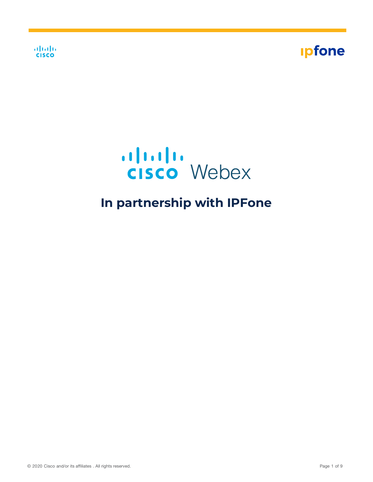





# **In partnership with IPFone**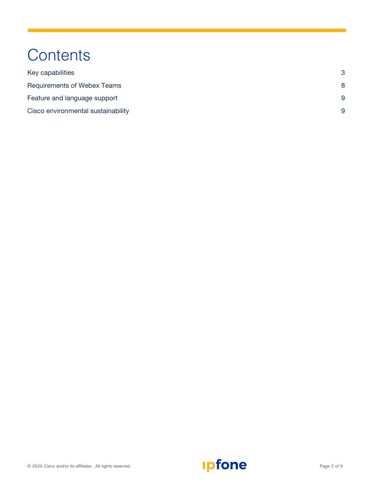# **Contents**

| Key capabilities                   | 3 |  |
|------------------------------------|---|--|
| <b>Requirements of Webex Teams</b> | 8 |  |
| Feature and language support       | 9 |  |
| Cisco environmental sustainability | 9 |  |

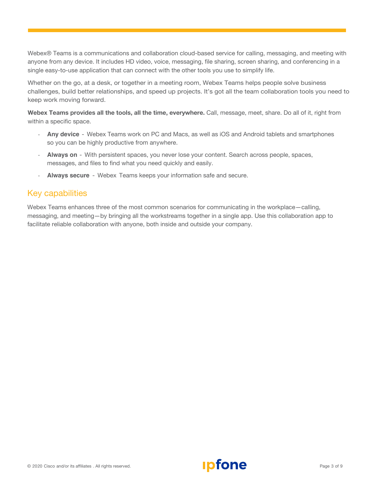Webex® Teams is a communications and collaboration cloud-based service for calling, messaging, and meeting with anyone from any device. It includes HD video, voice, messaging, file sharing, screen sharing, and conferencing in a single easy-to-use application that can connect with the other tools you use to simplify life.

Whether on the go, at a desk, or together in a meeting room, Webex Teams helps people solve business challenges, build better relationships, and speed up projects. It's got all the team collaboration tools you need to keep work moving forward.

**Webex Teams provides all the tools, all the time, everywhere.** Call, message, meet, share. Do all of it, right from within a specific space.

- **Any device** Webex Teams work on PC and Macs, as well as iOS and Android tablets and smartphones so you can be highly productive from anywhere.
- **Always on** With persistent spaces, you never lose your content. Search across people, spaces, messages, and files to find what you need quickly and easily.
- **Always secure** Webex Teams keeps your information safe and secure.

## Key capabilities

Webex Teams enhances three of the most common scenarios for communicating in the workplace—calling, messaging, and meeting—by bringing all the workstreams together in a single app. Use this collaboration app to facilitate reliable collaboration with anyone, both inside and outside your company.



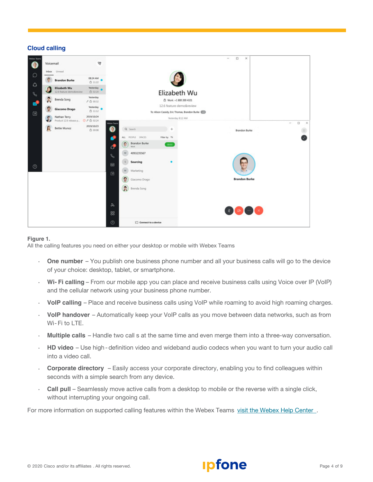#### **Cloud calling**



#### **Figure 1.**

All the calling features you need on either your desktop or mobile with Webex Teams

- **One number** You publish one business phone number and all your business calls will go to the device of your choice: desktop, tablet, or smartphone.
- **Wi- Fi calling** From our mobile app you can place and receive business calls using Voice over IP (VoIP) and the cellular network using your business phone number.
- **VoIP calling** Place and receive business calls using VoIP while roaming to avoid high roaming charges.
- **VoIP handover** Automatically keep your VoIP calls as you move between data networks, such as from Wi- Fi to LTE.
- **Multiple calls** Handle two call s at the same time and even merge them into a three-way conversation.
- **HD video** Use high- definition video and wideband audio codecs when you want to turn your audio call into a video call.
- **Corporate directory** Easily access your corporate directory, enabling you to find colleagues within seconds with a simple search from any device.
- **Call pull** Seamlessly move active calls from a desktop to mobile or the reverse with a single click, without interrupting your ongoing call.

For more information on supported calling features within the Webex Teams visit the [Webex Help](https://help.webex.com/en-us/xga73p/Webex-Teams-Supported-Calling-Options) Center.

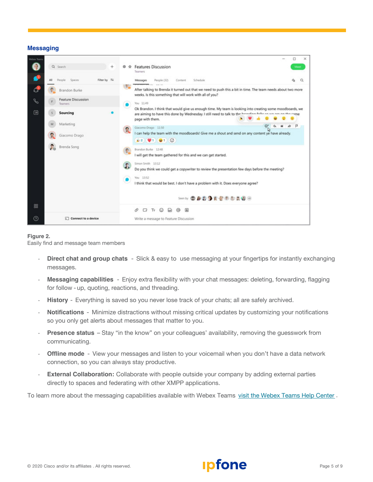#### **Messaging**



#### **Figure 2.**

Easily find and message team members

- **Direct chat and group chats** Slick & easy to use messaging at your fingertips for instantly exchanging messages.
- **Messaging capabilities** Enjoy extra flexibility with your chat messages: deleting, forwarding, flagging for follow - up, quoting, reactions, and threading.
- **History** Everything is saved so you never lose track of your chats; all are safely archived.
- **Notifications** Minimize distractions without missing critical updates by customizing your notifications so you only get alerts about messages that matter to you.
- **Presence status** Stay "in the know" on your colleagues' availability, removing the guesswork from communicating.
- **Offline mode** View your messages and listen to your voicemail when you don't have a data network connection, so you can always stay productive.
- **External Collaboration:** Collaborate with people outside your company by adding external parties directly to spaces and federating with other XMPP applications.

To learn more about the messaging capabilities available with Webex Teams visit the [Webex Teams](https://help.webex.com/ld-n0bl93g-CiscoWebexTeams/Webex-Teams-App#Moderate-Spaces-and-Teams) Help Center .

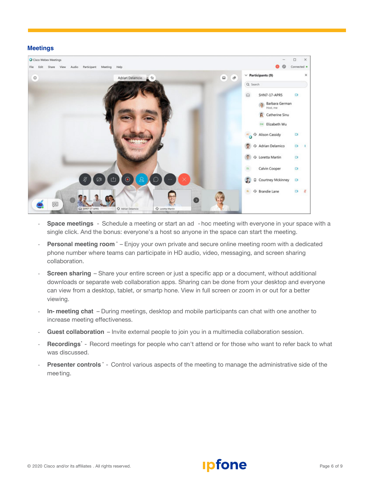#### **Meetings**



- **Space meetings** Schedule a meeting or start an ad hoc meeting with everyone in your space with a single click. And the bonus: everyone's a host so anyone in the space can start the meeting.
- **Personal meeting room \*** Enjoy your own private and secure online meeting room with a dedicated phone number where teams can participate in HD audio, video, messaging, and screen sharing collaboration.
- **Screen sharing** Share your entire screen or just a specific app or a document, without additional downloads or separate web collaboration apps. Sharing can be done from your desktop and everyone can view from a desktop, tablet, or smartp hone. View in full screen or zoom in or out for a better viewing.
- **In- meeting chat** During meetings, desktop and mobile participants can chat with one another to increase meeting effectiveness.
- **Guest collaboration** Invite external people to join you in a multimedia collaboration session.
- **Recordings\*** Record meetings for people who can't attend or for those who want to refer back to what was discussed.
- **Presenter controls \*** Control various aspects of the meeting to manage the administrative side of the meeting.

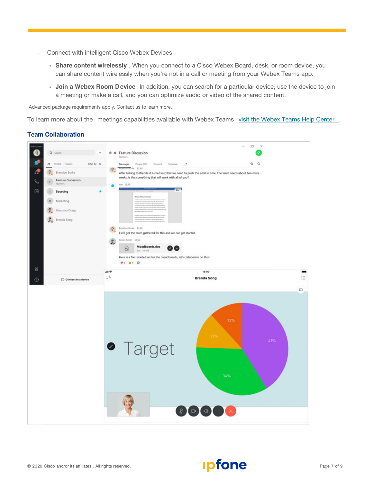- Connect with intelligent Cisco Webex Devices
	- **Share content wirelessly** . When you connect to a Cisco Webex Board, desk, or room device, you can share content wirelessly when you're not in a call or meeting from your Webex Teams app.
	- **Join a Webex Room Device**. In addition, you can search for a particular device, use the device to join a meeting or make a call, and you can optimize audio or video of the shared content.

\* Advanced package requirements apply. Contact us to learn more.

To learn more about the meetings capabilities available with Webex Teams visit the [Webex Teams Help Center](https://help.webex.com/ld-n0bl93g-CiscoWebexTeams/Webex-Teams-App#Moderate-Spaces-and-Teams).

#### **Team Collaboration**



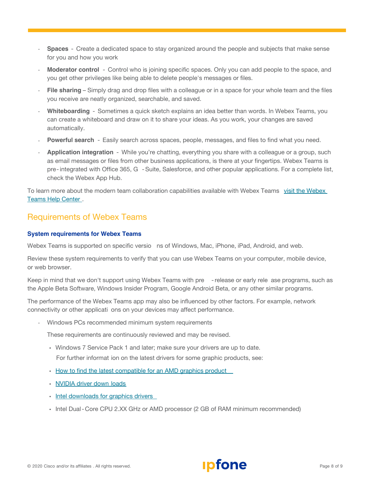- **Spaces** Create a dedicated space to stay organized around the people and subjects that make sense for you and how you work
- **Moderator control** Control who is joining specific spaces. Only you can add people to the space, and you get other privileges like being able to delete people's messages or files.
- **File sharing** Simply drag and drop files with a colleague or in a space for your whole team and the files you receive are neatly organized, searchable, and saved.
- **Whiteboarding** Sometimes a quick sketch explains an idea better than words. In Webex Teams, you can create a whiteboard and draw on it to share your ideas. As you work, your changes are saved automatically.
- **Powerful search** Easily search across spaces, people, messages, and files to find what you need.
- **Application integration** While you're chatting, everything you share with a colleague or a group, such as email messages or files from other business applications, is there at your fingertips. Webex Teams is pre-integrated with Office 365, G -Suite, Salesforce, and other popular applications. For a complete list, check the Webex App Hub.

To learn more about the [modern team collaboration capabilities available](https://help.webex.com/ld-n0bl93g-CiscoWebexTeams/Webex-Teams-App#Moderate-Spaces-and-Teams) with Webex Teams visit the Webex Teams Help Center .

# Requirements of Webex Teams

#### **System requirements for Webex Teams**

Webex Teams is supported on specific versio ns of Windows, Mac, iPhone, iPad, Android, and web.

Review these system requirements to verify that you can use Webex Teams on your computer, mobile device, or web browser.

Keep in mind that we don't support using Webex Teams with pre -release or early rele ase programs, such as the Apple Beta Software, Windows Insider Program, Google Android Beta, or any other similar programs.

The performance of the Webex Teams app may also be influenced by other factors. For example, network connectivity or other applicati ons on your devices may affect performance.

• Windows PCs recommended minimum system requirements

These requirements are continuously reviewed and may be revised.

• Windows 7 Service Pack 1 and later; make sure your drivers are up to date.

For further informat ion on the latest drivers for some graphic products, see:

- How to find the latest compatible for an AMD [graphics product](https://www.nvidia.com/Download/index.aspx)
- [NVIDIA driver](https://www.nvidia.com/Download/index.aspx) down loads
- Intel [downloads for graphics drivers](https://downloadcenter.intel.com/product/80939/Graphics-Drivers)
- Intel Dual- Core CPU 2.XX GHz or AMD processor (2 GB of RAM minimum recommended)